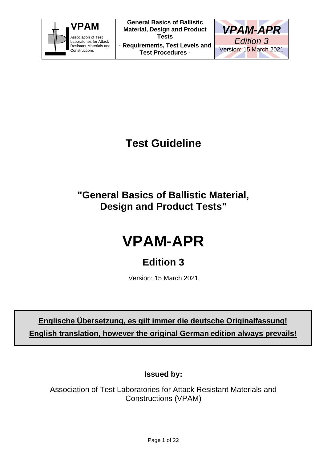



# **Test Guideline**

**"General Basics of Ballistic Material, Design and Product Tests"**

# **VPAM-APR**

## **Edition 3**

Version: 15 March 2021

**Englische Übersetzung, es gilt immer die deutsche Originalfassung! English translation, however the original German edition always prevails!**

**Issued by:**

Association of Test Laboratories for Attack Resistant Materials and Constructions (VPAM)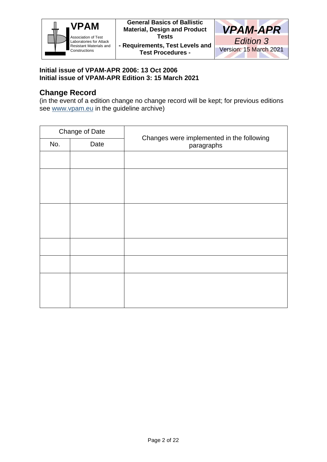



#### **Initial issue of VPAM-APR 2006: 13 Oct 2006 Initial issue of VPAM-APR Edition 3: 15 March 2021**

### **Change Record**

(in the event of a edition change no change record will be kept; for previous editions see www.vpam.eu in the guideline archive)

| Change of Date |      |                                                         |  |
|----------------|------|---------------------------------------------------------|--|
| No.            | Date | Changes were implemented in the following<br>paragraphs |  |
|                |      |                                                         |  |
|                |      |                                                         |  |
|                |      |                                                         |  |
|                |      |                                                         |  |
|                |      |                                                         |  |
|                |      |                                                         |  |
|                |      |                                                         |  |
|                |      |                                                         |  |
|                |      |                                                         |  |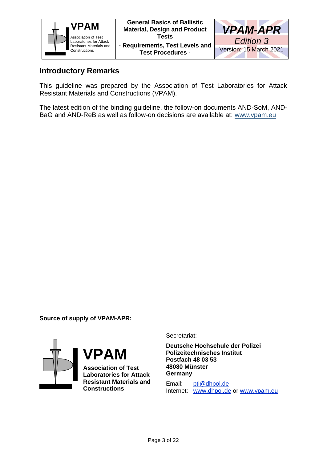



#### **Introductory Remarks**

This guideline was prepared by the Association of Test Laboratories for Attack Resistant Materials and Constructions (VPAM).

The latest edition of the binding guideline, the follow-on documents AND-SoM, AND-BaG and AND-ReB as well as follow-on decisions are available at: www.vpam.eu

**Source of supply of VPAM-APR:**



**Deutsche Hochschule der Polizei**

Secretariat:

**Association of Test Laboratories for Attack Resistant Materials and Constructions**

**VPAM**

**48080 Münster Germany** Email: pti@dhpol.de

**Polizeitechnisches Institut**

**Postfach 48 03 53**

Internet: www.dhpol.de or www.vpam.eu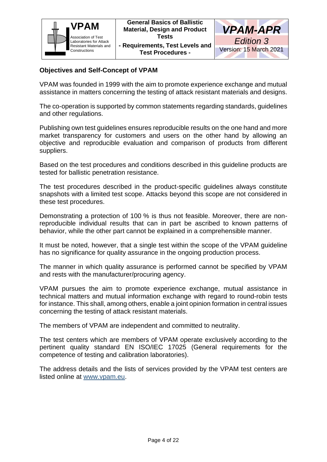



#### **Objectives and Self-Concept of VPAM**

VPAM was founded in 1999 with the aim to promote experience exchange and mutual assistance in matters concerning the testing of attack resistant materials and designs.

The co-operation is supported by common statements regarding standards, guidelines and other regulations.

Publishing own test guidelines ensures reproducible results on the one hand and more market transparency for customers and users on the other hand by allowing an objective and reproducible evaluation and comparison of products from different suppliers.

Based on the test procedures and conditions described in this guideline products are tested for ballistic penetration resistance.

The test procedures described in the product-specific guidelines always constitute snapshots with a limited test scope. Attacks beyond this scope are not considered in these test procedures.

Demonstrating a protection of 100 % is thus not feasible. Moreover, there are nonreproducible individual results that can in part be ascribed to known patterns of behavior, while the other part cannot be explained in a comprehensible manner.

It must be noted, however, that a single test within the scope of the VPAM guideline has no significance for quality assurance in the ongoing production process.

The manner in which quality assurance is performed cannot be specified by VPAM and rests with the manufacturer/procuring agency.

VPAM pursues the aim to promote experience exchange, mutual assistance in technical matters and mutual information exchange with regard to round-robin tests for instance. This shall, among others, enable a joint opinion formation in central issues concerning the testing of attack resistant materials.

The members of VPAM are independent and committed to neutrality.

The test centers which are members of VPAM operate exclusively according to the pertinent quality standard EN ISO/IEC 17025 (General requirements for the competence of testing and calibration laboratories).

The address details and the lists of services provided by the VPAM test centers are listed online at www.vpam.eu.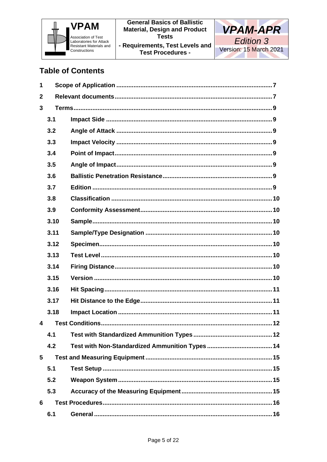



### **Table of Contents**

| 1                       |      |  |  |  |  |
|-------------------------|------|--|--|--|--|
| $\mathbf{2}$            |      |  |  |  |  |
| 3                       |      |  |  |  |  |
|                         | 3.1  |  |  |  |  |
|                         | 3.2  |  |  |  |  |
|                         | 3.3  |  |  |  |  |
|                         | 3.4  |  |  |  |  |
|                         | 3.5  |  |  |  |  |
|                         | 3.6  |  |  |  |  |
|                         | 3.7  |  |  |  |  |
|                         | 3.8  |  |  |  |  |
|                         | 3.9  |  |  |  |  |
|                         | 3.10 |  |  |  |  |
|                         | 3.11 |  |  |  |  |
|                         | 3.12 |  |  |  |  |
|                         | 3.13 |  |  |  |  |
|                         | 3.14 |  |  |  |  |
|                         | 3.15 |  |  |  |  |
|                         | 3.16 |  |  |  |  |
|                         | 3.17 |  |  |  |  |
|                         | 3.18 |  |  |  |  |
| $\overline{\mathbf{4}}$ |      |  |  |  |  |
|                         | 4.1  |  |  |  |  |
|                         | 4.2  |  |  |  |  |
| 5                       |      |  |  |  |  |
|                         | 5.1  |  |  |  |  |
|                         | 5.2  |  |  |  |  |
|                         | 5.3  |  |  |  |  |
| 6                       |      |  |  |  |  |
|                         | 6.1  |  |  |  |  |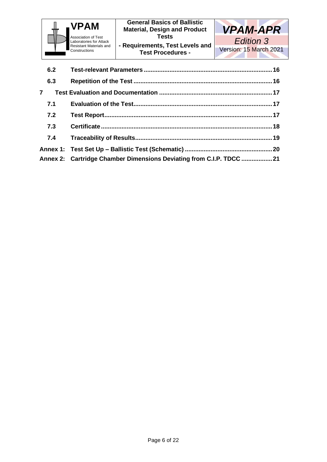

**Test Procedures -**

| 6.2            |                                                                     |  |
|----------------|---------------------------------------------------------------------|--|
| 6.3            |                                                                     |  |
| $\overline{7}$ |                                                                     |  |
| 7.1            |                                                                     |  |
| 7.2            |                                                                     |  |
| 7.3            |                                                                     |  |
|                |                                                                     |  |
|                |                                                                     |  |
|                | Annex 2: Cartridge Chamber Dimensions Deviating from C.I.P. TDCC 21 |  |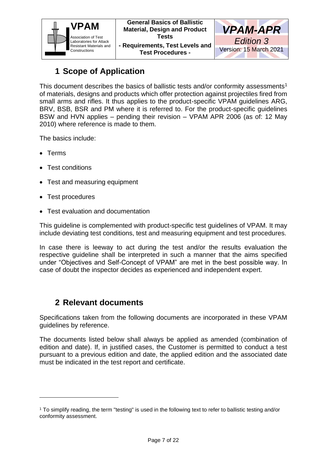



### **1 Scope of Application**

<span id="page-6-0"></span>This document describes the basics of ballistic tests and/or conformity assessments<sup>1</sup> of materials, designs and products which offer protection against projectiles fired from small arms and rifles. It thus applies to the product-specific VPAM guidelines ARG, BRV, BSB, BSR and PM where it is referred to. For the product-specific guidelines BSW and HVN applies – pending their revision – VPAM APR 2006 (as of: 12 May 2010) where reference is made to them.

The basics include:

- Terms
- Test conditions
- Test and measuring equipment
- Test procedures
- Test evaluation and documentation

This guideline is complemented with product-specific test guidelines of VPAM. It may include deviating test conditions, test and measuring equipment and test procedures.

In case there is leeway to act during the test and/or the results evaluation the respective guideline shall be interpreted in such a manner that the aims specified under "Objectives and Self-Concept of VPAM" are met in the best possible way. In case of doubt the inspector decides as experienced and independent expert.

### <span id="page-6-1"></span>**2 Relevant documents**

Specifications taken from the following documents are incorporated in these VPAM guidelines by reference.

The documents listed below shall always be applied as amended (combination of edition and date). If, in justified cases, the Customer is permitted to conduct a test pursuant to a previous edition and date, the applied edition and the associated date must be indicated in the test report and certificate.

<sup>1</sup> To simplify reading, the term "testing" is used in the following text to refer to ballistic testing and/or conformity assessment.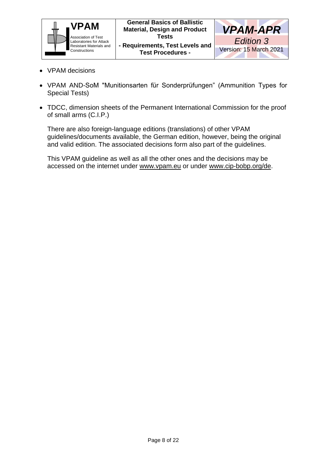



- VPAM decisions
- VPAM AND-SoM "Munitionsarten für Sonderprüfungen" (Ammunition Types for Special Tests)
- TDCC, dimension sheets of the Permanent International Commission for the proof of small arms (C.I.P.)

There are also foreign-language editions (translations) of other VPAM guidelines/documents available, the German edition, however, being the original and valid edition. The associated decisions form also part of the guidelines.

This VPAM guideline as well as all the other ones and the decisions may be accessed on the internet under www.vpam.eu or under www.cip-bobp.org/de.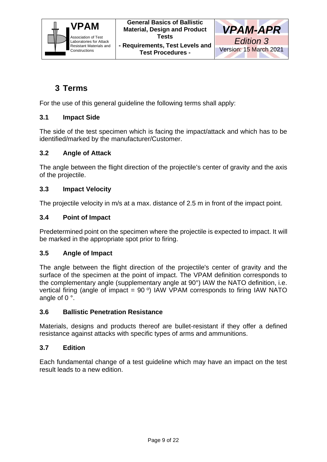



### <span id="page-8-0"></span>**3 Terms**

For the use of this general guideline the following terms shall apply:

#### <span id="page-8-1"></span>**3.1 Impact Side**

The side of the test specimen which is facing the impact/attack and which has to be identified/marked by the manufacturer/Customer.

#### <span id="page-8-2"></span>**3.2 Angle of Attack**

The angle between the flight direction of the projectile's center of gravity and the axis of the projectile.

#### <span id="page-8-3"></span>**3.3 Impact Velocity**

The projectile velocity in m/s at a max. distance of 2.5 m in front of the impact point.

#### <span id="page-8-4"></span>**3.4 Point of Impact**

Predetermined point on the specimen where the projectile is expected to impact. It will be marked in the appropriate spot prior to firing.

#### <span id="page-8-5"></span>**3.5 Angle of Impact**

The angle between the flight direction of the projectile's center of gravity and the surface of the specimen at the point of impact. The VPAM definition corresponds to the complementary angle (supplementary angle at 90°) IAW the NATO definition, i.e. vertical firing (angle of impact =  $90^{\circ}$ ) IAW VPAM corresponds to firing IAW NATO angle of 0 °.

#### <span id="page-8-6"></span>**3.6 Ballistic Penetration Resistance**

Materials, designs and products thereof are bullet-resistant if they offer a defined resistance against attacks with specific types of arms and ammunitions.

#### <span id="page-8-7"></span>**3.7 Edition**

Each fundamental change of a test guideline which may have an impact on the test result leads to a new edition.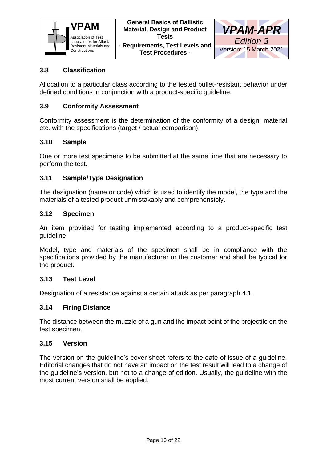

#### <span id="page-9-0"></span>**3.8 Classification**

Allocation to a particular class according to the tested bullet-resistant behavior under defined conditions in conjunction with a product-specific guideline.

#### <span id="page-9-1"></span>**3.9 Conformity Assessment**

Conformity assessment is the determination of the conformity of a design, material etc. with the specifications (target / actual comparison).

#### <span id="page-9-2"></span>**3.10 Sample**

One or more test specimens to be submitted at the same time that are necessary to perform the test.

#### <span id="page-9-3"></span>**3.11 Sample/Type Designation**

The designation (name or code) which is used to identify the model, the type and the materials of a tested product unmistakably and comprehensibly.

#### <span id="page-9-4"></span>**3.12 Specimen**

An item provided for testing implemented according to a product-specific test guideline.

Model, type and materials of the specimen shall be in compliance with the specifications provided by the manufacturer or the customer and shall be typical for the product.

#### <span id="page-9-5"></span>**3.13 Test Level**

Designation of a resistance against a certain attack as per paragraph 4.1.

#### <span id="page-9-6"></span>**3.14 Firing Distance**

The distance between the muzzle of a gun and the impact point of the projectile on the test specimen.

#### <span id="page-9-7"></span>**3.15 Version**

The version on the guideline's cover sheet refers to the date of issue of a guideline. Editorial changes that do not have an impact on the test result will lead to a change of the guideline's version, but not to a change of edition. Usually, the guideline with the most current version shall be applied.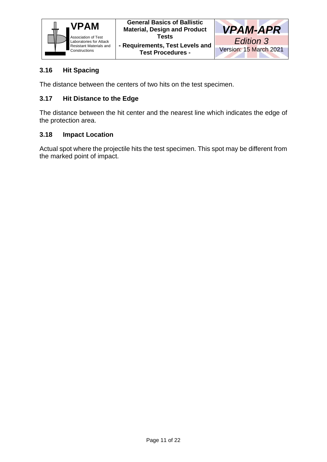

#### <span id="page-10-0"></span>**3.16 Hit Spacing**

The distance between the centers of two hits on the test specimen.

#### <span id="page-10-1"></span>**3.17 Hit Distance to the Edge**

The distance between the hit center and the nearest line which indicates the edge of the protection area.

#### <span id="page-10-2"></span>**3.18 Impact Location**

Actual spot where the projectile hits the test specimen. This spot may be different from the marked point of impact.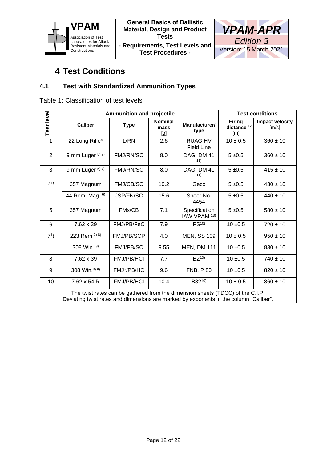



### **4 Test Conditions**

#### <span id="page-11-1"></span><span id="page-11-0"></span>**4.1 Test with Standardized Ammunition Types**

Table 1: Classification of test levels

|                                                                                                                                                                         | <b>Ammunition and projectile</b> |                   |                               |                                          | <b>Test conditions</b>                |                                 |
|-------------------------------------------------------------------------------------------------------------------------------------------------------------------------|----------------------------------|-------------------|-------------------------------|------------------------------------------|---------------------------------------|---------------------------------|
| Test level                                                                                                                                                              | <b>Caliber</b>                   | <b>Type</b>       | <b>Nominal</b><br>mass<br>[g] | Manufacturer/<br>type                    | <b>Firing</b><br>distance $12$<br>[m] | <b>Impact velocity</b><br>[m/s] |
| 1                                                                                                                                                                       | 22 Long Rifle <sup>4</sup>       | L/RN              | 2.6                           | <b>RUAG HV</b><br><b>Field Line</b>      | $10 \pm 0.5$                          | $360 \pm 10$                    |
| 2                                                                                                                                                                       | 9 mm Luger 5) 7)                 | <b>FMJ/RN/SC</b>  | 8.0                           | DAG, DM 41<br>11)                        | $5 + 0.5$                             | $360 \pm 10$                    |
| 3                                                                                                                                                                       | 9 mm Luger $57$                  | FMJ/RN/SC         | 8.0                           | DAG, DM 41<br>11)                        | $5 + 0.5$                             | $415 \pm 10$                    |
| $4^{1}$                                                                                                                                                                 | 357 Magnum                       | <b>FMJ/CB/SC</b>  | 10.2                          | Geco                                     | $5 + 0.5$                             | $430 \pm 10$                    |
|                                                                                                                                                                         | 44 Rem. Mag. 6)                  | JSP/FN/SC         | 15.6                          | Speer No.<br>4454                        | $5 + 0.5$                             | $440 \pm 10$                    |
| 5                                                                                                                                                                       | 357 Magnum                       | FMs/CB            | 7.1                           | Specification<br>IAW VPAM <sup>13)</sup> | $5 + 0.5$                             | $580 \pm 10$                    |
| 6                                                                                                                                                                       | 7.62 x 39                        | FMJ/PB/FeC        | 7.9                           | PS <sup>10</sup>                         | $10 \pm 0.5$                          | $720 \pm 10$                    |
| 7 <sup>1</sup>                                                                                                                                                          | 223 Rem. <sup>2) 8)</sup>        | <b>FMJ/PB/SCP</b> | 4.0                           | <b>MEN, SS 109</b>                       | $10 \pm 0.5$                          | $950 \pm 10$                    |
|                                                                                                                                                                         | 308 Win. 9)                      | <b>FMJ/PB/SC</b>  | 9.55                          | <b>MEN, DM 111</b>                       | $10 + 0.5$                            | $830 \pm 10$                    |
| 8                                                                                                                                                                       | 7.62 x 39                        | <b>FMJ/PB/HCI</b> | 7.7                           | $BZ^{10}$                                | $10 + 0.5$                            | $740 \pm 10$                    |
| 9                                                                                                                                                                       | 308 Win. <sup>3) 9)</sup>        | FMJ*/PB/HC        | 9.6                           | <b>FNB, P80</b>                          | $10 + 0.5$                            | $820 \pm 10$                    |
| 10                                                                                                                                                                      | $7.62 \times 54 R$               | <b>FMJ/PB/HCI</b> | 10.4                          | B3210)                                   | $10 \pm 0.5$                          | $860 \pm 10$                    |
| The twist rates can be gathered from the dimension sheets (TDCC) of the C.I.P.<br>Deviating twist rates and dimensions are marked by exponents in the column "Caliber". |                                  |                   |                               |                                          |                                       |                                 |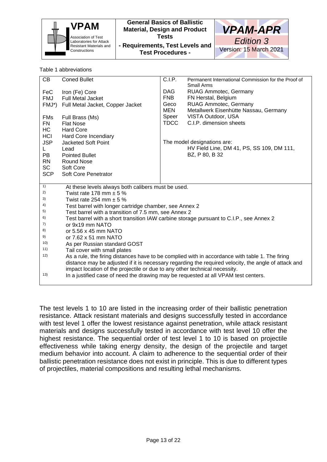| <b>VPAM</b><br><b>Association of Test</b><br>Laboratories for Attack<br>Resistant Materials and<br>Constructions<br>Table 1 abbreviations |  | <b>General Basics of Ballistic</b><br><b>Material, Design and Product</b><br><b>Tests</b><br>- Requirements, Test Levels and<br><b>Test Procedures -</b> |                                                     |  | <b>VPAM-APR</b><br>Edition 3<br>Version: 15 March 2021 |
|-------------------------------------------------------------------------------------------------------------------------------------------|--|----------------------------------------------------------------------------------------------------------------------------------------------------------|-----------------------------------------------------|--|--------------------------------------------------------|
| CB<br><b>Coned Bullet</b>                                                                                                                 |  | C.I.P.                                                                                                                                                   | Permanent International Commission for the Proof of |  |                                                        |
| <b>FeC</b><br>Iron (Fe) Core                                                                                                              |  | DAG.                                                                                                                                                     | Small Arms<br><b>RUAG Ammotec, Germany</b>          |  |                                                        |
| <b>Full Metal Jacket</b><br>FMJ                                                                                                           |  | <b>FNB</b>                                                                                                                                               | FN Herstal, Belgium                                 |  |                                                        |
| $FMJ^*$<br>Full Metal Jacket, Copper Jacket                                                                                               |  | Geco                                                                                                                                                     | RUAG Ammotec, Germany                               |  |                                                        |
|                                                                                                                                           |  | MEN                                                                                                                                                      | Metallwerk Eisenhütte Nassau, Germany               |  |                                                        |
| <b>FMs</b><br>Full Brass (Ms)                                                                                                             |  | Speer                                                                                                                                                    | VISTA Outdoor, USA                                  |  |                                                        |
| FN<br><b>Flat Nose</b>                                                                                                                    |  | TDCC                                                                                                                                                     | C.I.P. dimension sheets                             |  |                                                        |

The model designations are: HV Field Line, DM 41, PS, SS 109, DM 111, BZ, P 80, B 32

| 2) | Twist rate 178 mm $\pm$ 5 %                                                             |
|----|-----------------------------------------------------------------------------------------|
| 3) | Twist rate 254 mm $\pm$ 5 %                                                             |
| 4) | Test barrel with longer cartridge chamber, see Annex 2                                  |
| 5) | Test barrel with a transition of 7.5 mm, see Annex 2                                    |
| 6) | Test barrel with a short transition IAW carbine storage pursuant to C.I.P., see Annex 2 |
|    | $\alpha$ r 0 $\nu$ 10 mm N $\Delta$ T $\cap$                                            |

At these levels always both calibers must be used.

7) or 9x19 mm NATO

HC Hard Core<br>HCl Hard Core

RN Round Nose SC Soft Core

L Lead<br>PB Pointe

1)

8) or 5.56 x 45 mm NATO

9) or 7.62 x 51 mm NATO

10) As per Russian standard GOST

11) Tail cover with small plates

Hard Core Incendiary

JSP Jacketed Soft Point

Pointed Bullet

SCP Soft Core Penetrator

12) As a rule, the firing distances have to be complied with in accordance with table 1. The firing distance may be adjusted if it is necessary regarding the required velocity, the angle of attack and impact location of the projectile or due to any other technical necessity.

13) In a justified case of need the drawing may be requested at all VPAM test centers.

The test levels 1 to 10 are listed in the increasing order of their ballistic penetration resistance. Attack resistant materials and designs successfully tested in accordance with test level 1 offer the lowest resistance against penetration, while attack resistant materials and designs successfully tested in accordance with test level 10 offer the highest resistance. The sequential order of test level 1 to 10 is based on projectile effectiveness while taking energy density, the design of the projectile and target medium behavior into account. A claim to adherence to the sequential order of their ballistic penetration resistance does not exist in principle. This is due to different types of projectiles, material compositions and resulting lethal mechanisms.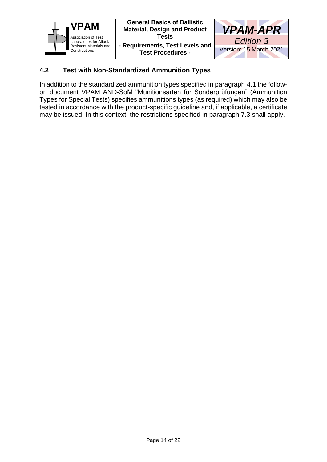



#### <span id="page-13-0"></span>**4.2 Test with Non-Standardized Ammunition Types**

In addition to the standardized ammunition types specified in paragraph 4.1 the followon document VPAM AND-SoM "Munitionsarten für Sonderprüfungen" (Ammunition Types for Special Tests) specifies ammunitions types (as required) which may also be tested in accordance with the product-specific guideline and, if applicable, a certificate may be issued. In this context, the restrictions specified in paragraph 7.3 shall apply.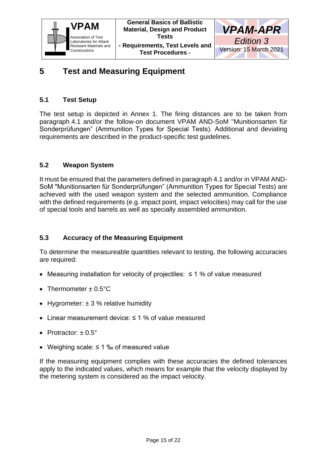



### <span id="page-14-0"></span>**5 Test and Measuring Equipment**

#### <span id="page-14-1"></span>**5.1 Test Setup**

The test setup is depicted in Annex 1. The firing distances are to be taken from paragraph 4.1 and/or the follow-on document VPAM AND-SoM "Munitionsarten für Sonderprüfungen" (Ammunition Types for Special Tests). Additional and deviating requirements are described in the product-specific test guidelines.

#### <span id="page-14-2"></span>**5.2 Weapon System**

It must be ensured that the parameters defined in paragraph 4.1 and/or in VPAM AND-SoM "Munitionsarten für Sonderprüfungen" (Ammunition Types for Special Tests) are achieved with the used weapon system and the selected ammunition. Compliance with the defined requirements (e.g. impact point, impact velocities) may call for the use of special tools and barrels as well as specially assembled ammunition.

#### <span id="page-14-3"></span>**5.3 Accuracy of the Measuring Equipment**

To determine the measureable quantities relevant to testing, the following accuracies are required:

- Measuring installation for velocity of projectiles: ≤ 1 % of value measured
- Thermometer  $\pm$  0.5 $^{\circ}$ C
- Hygrometer:  $\pm 3$  % relative humidity
- Linear measurement device: ≤ 1 % of value measured
- Protractor:  $\pm 0.5^{\circ}$
- Weighing scale: ≤ 1 ‰ of measured value

If the measuring equipment complies with these accuracies the defined tolerances apply to the indicated values, which means for example that the velocity displayed by the metering system is considered as the impact velocity.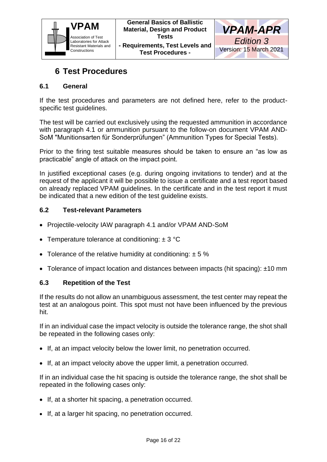



### **6 Test Procedures**

#### <span id="page-15-1"></span><span id="page-15-0"></span>**6.1 General**

If the test procedures and parameters are not defined here, refer to the productspecific test guidelines.

The test will be carried out exclusively using the requested ammunition in accordance with paragraph 4.1 or ammunition pursuant to the follow-on document VPAM AND-SoM "Munitionsarten für Sonderprüfungen" (Ammunition Types for Special Tests).

Prior to the firing test suitable measures should be taken to ensure an "as low as practicable" angle of attack on the impact point.

In justified exceptional cases (e.g. during ongoing invitations to tender) and at the request of the applicant it will be possible to issue a certificate and a test report based on already replaced VPAM guidelines. In the certificate and in the test report it must be indicated that a new edition of the test guideline exists.

#### <span id="page-15-2"></span>**6.2 Test-relevant Parameters**

- Projectile-velocity IAW paragraph 4.1 and/or VPAM AND-SoM
- Temperature tolerance at conditioning:  $\pm$  3 °C
- Tolerance of the relative humidity at conditioning:  $\pm$  5 %
- Tolerance of impact location and distances between impacts (hit spacing): ±10 mm

#### <span id="page-15-3"></span>**6.3 Repetition of the Test**

If the results do not allow an unambiguous assessment, the test center may repeat the test at an analogous point. This spot must not have been influenced by the previous hit.

If in an individual case the impact velocity is outside the tolerance range, the shot shall be repeated in the following cases only:

- If, at an impact velocity below the lower limit, no penetration occurred.
- If, at an impact velocity above the upper limit, a penetration occurred.

If in an individual case the hit spacing is outside the tolerance range, the shot shall be repeated in the following cases only:

- If, at a shorter hit spacing, a penetration occurred.
- If, at a larger hit spacing, no penetration occurred.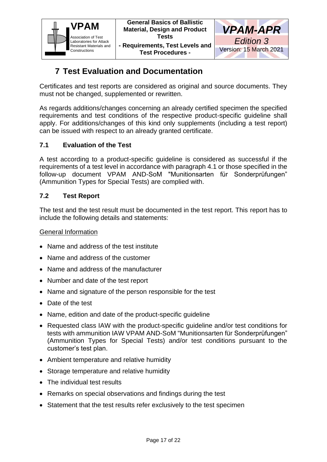



### **7 Test Evaluation and Documentation**

<span id="page-16-0"></span>Certificates and test reports are considered as original and source documents. They must not be changed, supplemented or rewritten.

As regards additions/changes concerning an already certified specimen the specified requirements and test conditions of the respective product-specific guideline shall apply. For additions/changes of this kind only supplements (including a test report) can be issued with respect to an already granted certificate.

#### <span id="page-16-1"></span>**7.1 Evaluation of the Test**

A test according to a product-specific guideline is considered as successful if the requirements of a test level in accordance with paragraph 4.1 or those specified in the follow-up document VPAM AND-SoM "Munitionsarten für Sonderprüfungen" (Ammunition Types for Special Tests) are complied with.

#### <span id="page-16-2"></span>**7.2 Test Report**

The test and the test result must be documented in the test report. This report has to include the following details and statements:

#### General Information

- Name and address of the test institute
- Name and address of the customer
- Name and address of the manufacturer
- Number and date of the test report
- Name and signature of the person responsible for the test
- Date of the test
- Name, edition and date of the product-specific guideline
- Requested class IAW with the product-specific guideline and/or test conditions for tests with ammunition IAW VPAM AND-SoM "Munitionsarten für Sonderprüfungen" (Ammunition Types for Special Tests) and/or test conditions pursuant to the customer's test plan.
- Ambient temperature and relative humidity
- Storage temperature and relative humidity
- The individual test results
- Remarks on special observations and findings during the test
- Statement that the test results refer exclusively to the test specimen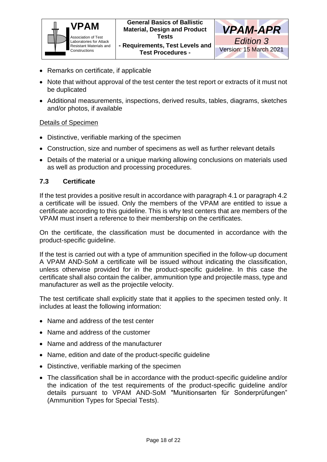



- **- Requirements, Test Levels and Test Procedures -**
- Remarks on certificate, if applicable
- Note that without approval of the test center the test report or extracts of it must not be duplicated
- Additional measurements, inspections, derived results, tables, diagrams, sketches and/or photos, if available

#### Details of Specimen

- Distinctive, verifiable marking of the specimen
- Construction, size and number of specimens as well as further relevant details
- Details of the material or a unique marking allowing conclusions on materials used as well as production and processing procedures.

#### <span id="page-17-0"></span>**7.3 Certificate**

If the test provides a positive result in accordance with paragraph 4.1 or paragraph 4.2 a certificate will be issued. Only the members of the VPAM are entitled to issue a certificate according to this guideline. This is why test centers that are members of the VPAM must insert a reference to their membership on the certificates.

On the certificate, the classification must be documented in accordance with the product-specific guideline.

If the test is carried out with a type of ammunition specified in the follow-up document A VPAM AND-SoM a certificate will be issued without indicating the classification, unless otherwise provided for in the product-specific guideline. In this case the certificate shall also contain the caliber, ammunition type and projectile mass, type and manufacturer as well as the projectile velocity.

The test certificate shall explicitly state that it applies to the specimen tested only. It includes at least the following information:

- Name and address of the test center
- Name and address of the customer
- Name and address of the manufacturer
- Name, edition and date of the product-specific guideline
- Distinctive, verifiable marking of the specimen
- The classification shall be in accordance with the product-specific guideline and/or the indication of the test requirements of the product-specific guideline and/or details pursuant to VPAM AND-SoM "Munitionsarten für Sonderprüfungen" (Ammunition Types for Special Tests).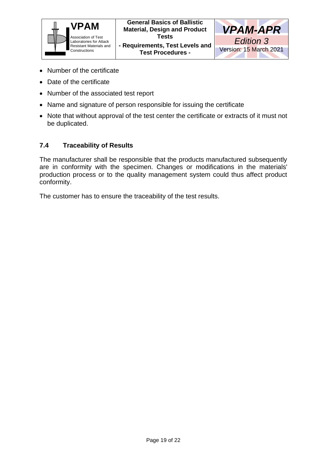

**Test Procedures -**



- Number of the certificate
- Date of the certificate
- Number of the associated test report
- Name and signature of person responsible for issuing the certificate
- Note that without approval of the test center the certificate or extracts of it must not be duplicated.

#### <span id="page-18-0"></span>**7.4 Traceability of Results**

The manufacturer shall be responsible that the products manufactured subsequently are in conformity with the specimen. Changes or modifications in the materials' production process or to the quality management system could thus affect product conformity.

The customer has to ensure the traceability of the test results.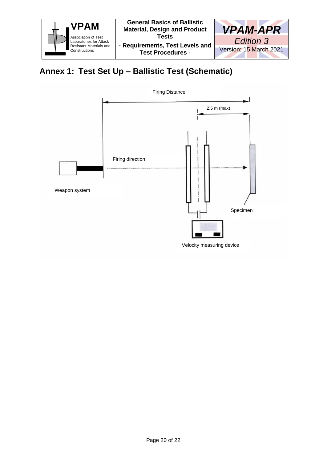

### <span id="page-19-0"></span>**Annex 1: Test Set Up – Ballistic Test (Schematic)**

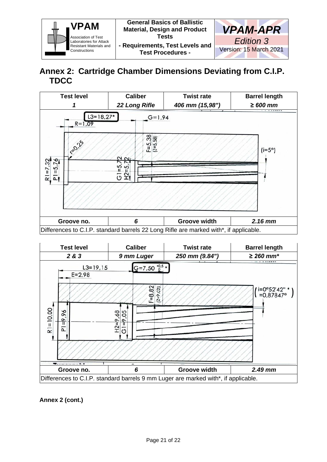

### <span id="page-20-0"></span>**Annex 2: Cartridge Chamber Dimensions Deviating from C.I.P. TDCC**





**Annex 2 (cont.)**